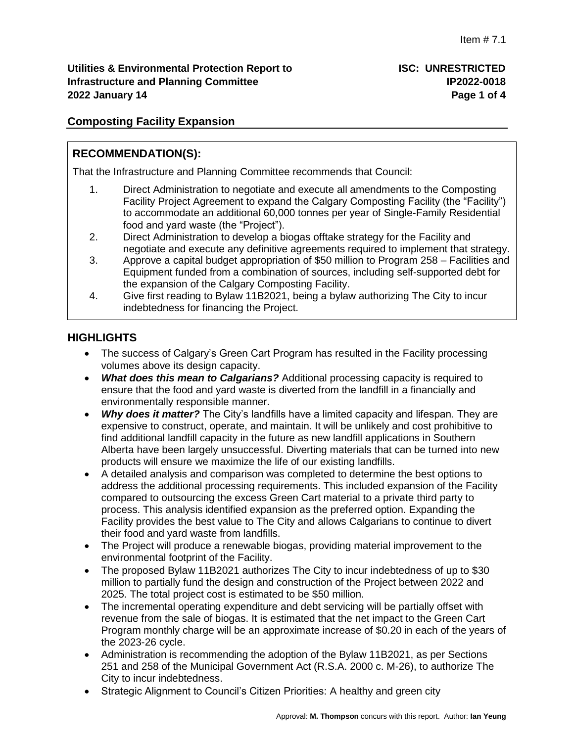# **Composting Facility Expansion**

# **RECOMMENDATION(S):**

That the Infrastructure and Planning Committee recommends that Council:

- 1. Direct Administration to negotiate and execute all amendments to the Composting Facility Project Agreement to expand the Calgary Composting Facility (the "Facility") to accommodate an additional 60,000 tonnes per year of Single-Family Residential food and yard waste (the "Project").
- 2. Direct Administration to develop a biogas offtake strategy for the Facility and negotiate and execute any definitive agreements required to implement that strategy.
- 3. Approve a capital budget appropriation of \$50 million to Program 258 Facilities and Equipment funded from a combination of sources, including self-supported debt for the expansion of the Calgary Composting Facility.
- 4. Give first reading to Bylaw 11B2021, being a bylaw authorizing The City to incur indebtedness for financing the Project.

# **HIGHLIGHTS**

- The success of Calgary's Green Cart Program has resulted in the Facility processing volumes above its design capacity.
- *What does this mean to Calgarians?* Additional processing capacity is required to ensure that the food and yard waste is diverted from the landfill in a financially and environmentally responsible manner.
- *Why does it matter?* The City's landfills have a limited capacity and lifespan. They are expensive to construct, operate, and maintain. It will be unlikely and cost prohibitive to find additional landfill capacity in the future as new landfill applications in Southern Alberta have been largely unsuccessful. Diverting materials that can be turned into new products will ensure we maximize the life of our existing landfills.
- A detailed analysis and comparison was completed to determine the best options to address the additional processing requirements. This included expansion of the Facility compared to outsourcing the excess Green Cart material to a private third party to process. This analysis identified expansion as the preferred option. Expanding the Facility provides the best value to The City and allows Calgarians to continue to divert their food and yard waste from landfills.
- The Project will produce a renewable biogas, providing material improvement to the environmental footprint of the Facility.
- The proposed Bylaw 11B2021 authorizes The City to incur indebtedness of up to \$30 million to partially fund the design and construction of the Project between 2022 and 2025. The total project cost is estimated to be \$50 million.
- The incremental operating expenditure and debt servicing will be partially offset with revenue from the sale of biogas. It is estimated that the net impact to the Green Cart Program monthly charge will be an approximate increase of \$0.20 in each of the years of the 2023-26 cycle.
- Administration is recommending the adoption of the Bylaw 11B2021, as per Sections 251 and 258 of the Municipal Government Act (R.S.A. 2000 c. M-26), to authorize The City to incur indebtedness.
- Strategic Alignment to Council's Citizen Priorities: A healthy and green city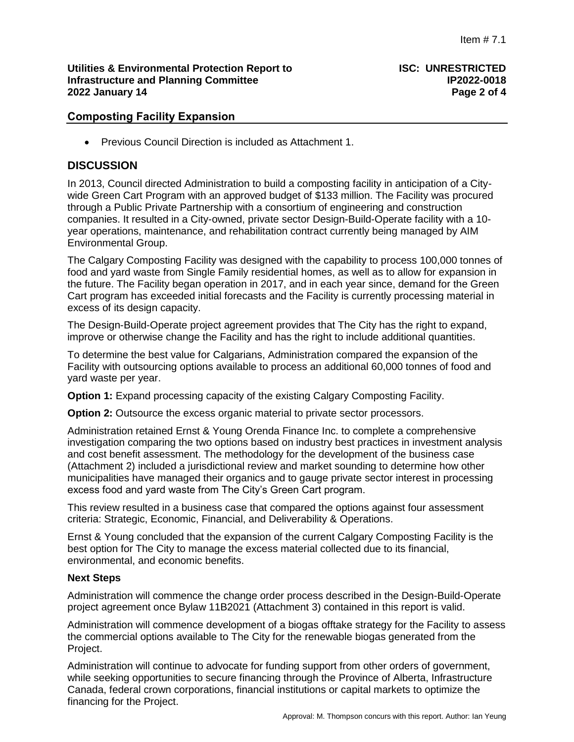## **Utilities & Environmental Protection Report to ISC: UNRESTRICTED Infrastructure and Planning Committee IP2022-0018 2022 January 14 Page 2 of 4**

# **Composting Facility Expansion**

Previous Council Direction is included as Attachment 1.

## **DISCUSSION**

In 2013, Council directed Administration to build a composting facility in anticipation of a Citywide Green Cart Program with an approved budget of \$133 million. The Facility was procured through a Public Private Partnership with a consortium of engineering and construction companies. It resulted in a City-owned, private sector Design-Build-Operate facility with a 10 year operations, maintenance, and rehabilitation contract currently being managed by AIM Environmental Group.

The Calgary Composting Facility was designed with the capability to process 100,000 tonnes of food and yard waste from Single Family residential homes, as well as to allow for expansion in the future. The Facility began operation in 2017, and in each year since, demand for the Green Cart program has exceeded initial forecasts and the Facility is currently processing material in excess of its design capacity.

The Design-Build-Operate project agreement provides that The City has the right to expand, improve or otherwise change the Facility and has the right to include additional quantities.

To determine the best value for Calgarians, Administration compared the expansion of the Facility with outsourcing options available to process an additional 60,000 tonnes of food and yard waste per year.

**Option 1:** Expand processing capacity of the existing Calgary Composting Facility.

**Option 2:** Outsource the excess organic material to private sector processors.

Administration retained Ernst & Young Orenda Finance Inc. to complete a comprehensive investigation comparing the two options based on industry best practices in investment analysis and cost benefit assessment. The methodology for the development of the business case (Attachment 2) included a jurisdictional review and market sounding to determine how other municipalities have managed their organics and to gauge private sector interest in processing excess food and yard waste from The City's Green Cart program.

This review resulted in a business case that compared the options against four assessment criteria: Strategic, Economic, Financial, and Deliverability & Operations.

Ernst & Young concluded that the expansion of the current Calgary Composting Facility is the best option for The City to manage the excess material collected due to its financial, environmental, and economic benefits.

### **Next Steps**

Administration will commence the change order process described in the Design-Build-Operate project agreement once Bylaw 11B2021 (Attachment 3) contained in this report is valid.

Administration will commence development of a biogas offtake strategy for the Facility to assess the commercial options available to The City for the renewable biogas generated from the Project.

Administration will continue to advocate for funding support from other orders of government, while seeking opportunities to secure financing through the Province of Alberta, Infrastructure Canada, federal crown corporations, financial institutions or capital markets to optimize the financing for the Project.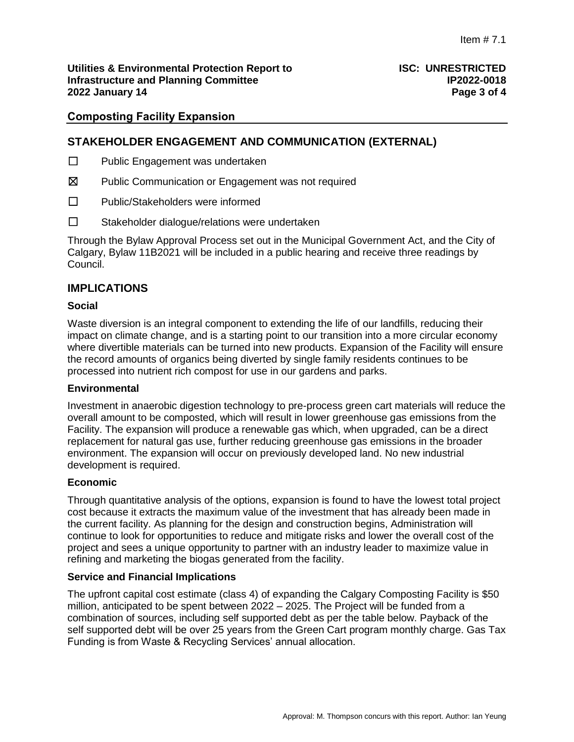## **Utilities & Environmental Protection Report to ISC: UNRESTRICTED Infrastructure and Planning Committee IP2022-0018 2022 January 14 Page 3 of 4**

## **Composting Facility Expansion**

## **STAKEHOLDER ENGAGEMENT AND COMMUNICATION (EXTERNAL)**

- ☐ Public Engagement was undertaken
- ☒ Public Communication or Engagement was not required
- ☐ Public/Stakeholders were informed
- ☐ Stakeholder dialogue/relations were undertaken

Through the Bylaw Approval Process set out in the Municipal Government Act, and the City of Calgary, Bylaw 11B2021 will be included in a public hearing and receive three readings by Council.

## **IMPLICATIONS**

#### **Social**

Waste diversion is an integral component to extending the life of our landfills, reducing their impact on climate change, and is a starting point to our transition into a more circular economy where divertible materials can be turned into new products. Expansion of the Facility will ensure the record amounts of organics being diverted by single family residents continues to be processed into nutrient rich compost for use in our gardens and parks.

#### **Environmental**

Investment in anaerobic digestion technology to pre-process green cart materials will reduce the overall amount to be composted, which will result in lower greenhouse gas emissions from the Facility. The expansion will produce a renewable gas which, when upgraded, can be a direct replacement for natural gas use, further reducing greenhouse gas emissions in the broader environment. The expansion will occur on previously developed land. No new industrial development is required.

#### **Economic**

Through quantitative analysis of the options, expansion is found to have the lowest total project cost because it extracts the maximum value of the investment that has already been made in the current facility. As planning for the design and construction begins, Administration will continue to look for opportunities to reduce and mitigate risks and lower the overall cost of the project and sees a unique opportunity to partner with an industry leader to maximize value in refining and marketing the biogas generated from the facility.

#### **Service and Financial Implications**

The upfront capital cost estimate (class 4) of expanding the Calgary Composting Facility is \$50 million, anticipated to be spent between 2022 – 2025. The Project will be funded from a combination of sources, including self supported debt as per the table below. Payback of the self supported debt will be over 25 years from the Green Cart program monthly charge. Gas Tax Funding is from Waste & Recycling Services' annual allocation.